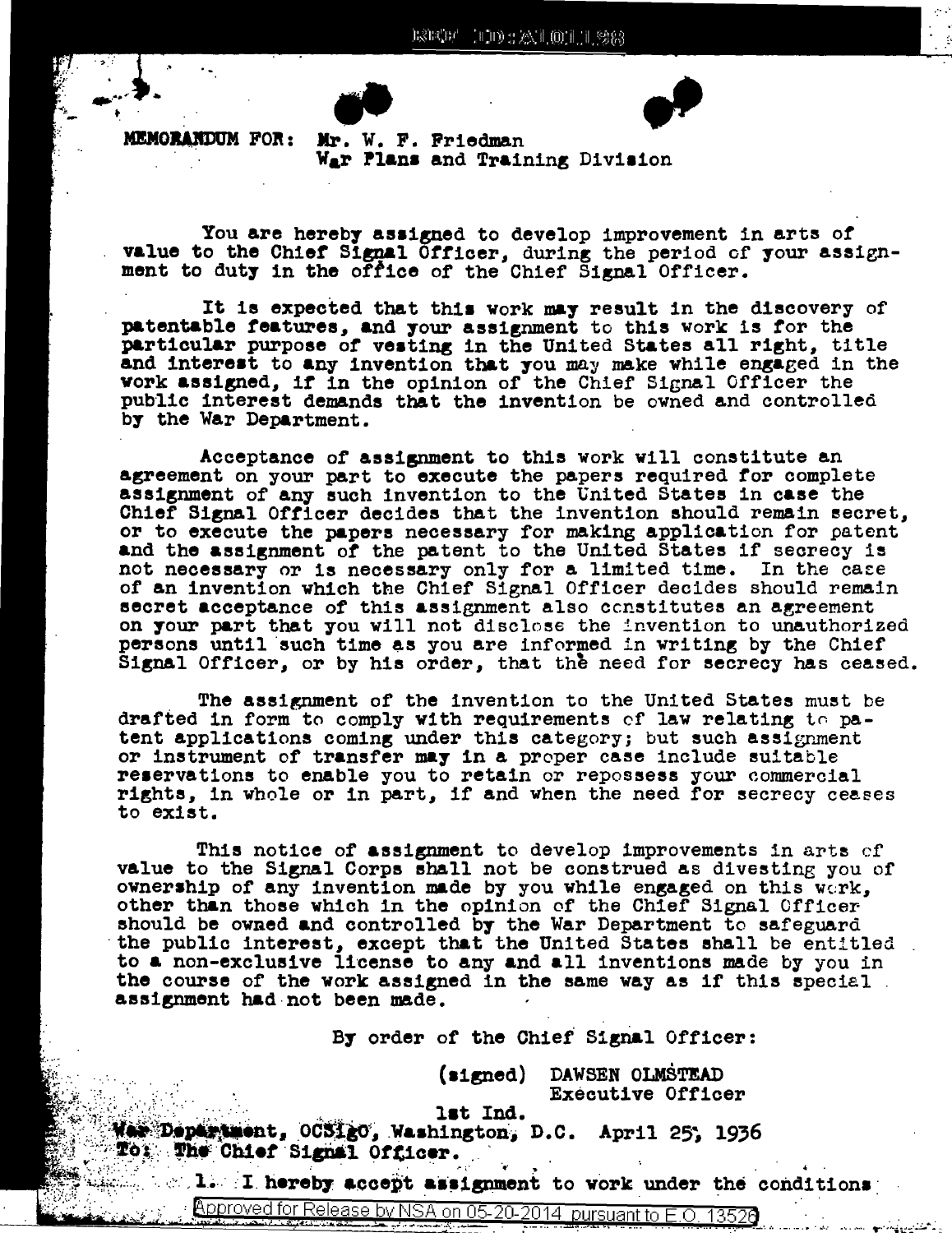

**MEMORANDUM FOR:** 

Mr. W. F. Friedman War Plans and Training Division

You are hereby assigned to develop improvement in arts of value to the Chief Signal Officer, during the period of your assign-<br>ment to duty in the office of the Chief Signal Officer.

It is expected that this work may result in the discovery of patentable features, and your assignment to this work is for the particular purpose of vesting in the United States all right, title and interest to any invention that you may make while engaged in the work assigned, if in the opinion of the Chief Signal Officer the public interest demands that the invention be owned and controlled by the War Department.

Acceptance of assignment to this work will constitute an agreement on your part to execute the papers required for complete assignment of any such invention to the United States in case the Chief Signal Officer decides that the invention should remain secret, or to execute the papers necessary for making application for patent and the assignment of the patent to the United States if secrecy is In the case not necessary or is necessary only for a limited time. of an invention which the Chief Signal Officer decides should remain secret acceptance of this assignment also constitutes an agreement on your part that you will not disclose the invention to unauthorized persons until such time as you are informed in writing by the Chief Signal Officer, or by his order, that the need for secrecy has ceased.

The assignment of the invention to the United States must be drafted in form to comply with requirements of law relating to patent applications coming under this category; but such assignment or instrument of transfer may in a proper case include suitable reservations to enable you to retain or repossess your commercial rights, in whole or in part, if and when the need for secrecy ceases to exist.

This notice of assignment to develop improvements in arts of value to the Signal Corps shall not be construed as divesting you of ownership of any invention made by you while engaged on this werk, other than those which in the opinion of the Chief Signal Officer should be owned and controlled by the War Department to safeguard the public interest, except that the United States shall be entitled to a non-exclusive license to any and all inventions made by you in the course of the work assigned in the same way as if this special. assignment had not been made.

By order of the Chief Signal Officer:

(signed) DAWSEN OLMSTEAD **Executive Officer** 

lst Ind.

West Department, OCS1gO, Washington, D.C. April 25, 1936 To: The Chief Signal Officer.

1. I hereby accept assignment to work under the conditions

Approved for Release by NSA on 05-20-2014 pursuant to E.O. 13526